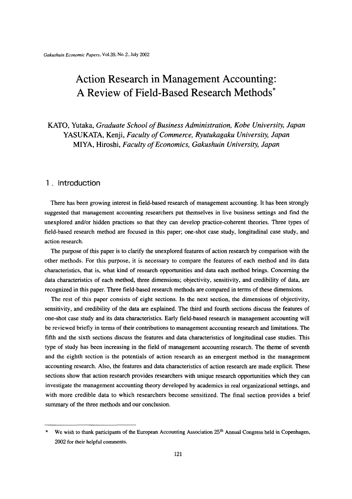# Action Research in Management Accounting: A Review of Field-Based Research Methods\*

KATO, Yutaka, Graduate School of Business Administration, Kobe University, Japan YASUKATA, Kenji, Faculty of Commerce, Ryutukagaku University, Japan MIYA, Hiroshi, Faculty of Economics, Gakushuin University, Japan

## 1. Introduction

 There has been growing interest in field-based research of management accounting. It has been strongly suggested that management accounting researchers put themselves in live business settings and find the unexplored and/or hidden practices so that they can develop practice-coherent theories. Three types of field-based research method are focused in this paper; one-shot case study, longitudinal case study, and action research.

The purpose of this paper is to clarify the unexplored features of action research by comparison with the other methods. For this purpose, it is necessary to compare the features of each method and its data characteristics, that is, what kind of research opportunities and data each method brings. Conceming the data characteristics of each method, three dimensions; objectivity, sensitivity, and credibility of data, are recognized in this paper. Three field-based research methods are compared in terms of these dimensions.

The rest of this paper consists of eight sections. In the next section, the dimensions of objectivity, sensitivity, and credibility of the data are explained. The third and fourth sections discuss the features of one-shot case study and its data characteristics. Early field-based research in management accounting will be reviewed briefly in terms of their contributions to management accounting research and limitations. The fifth and the sixth sections discuss the features and data characteristics of longitudinal case studies. This type of study has been increasing in the fieid of management accounting research. The theme of seventh and the eighth section is the potentials of action research as an emergent method in the management accounting research. Also, the features and data characteristics of action research are made explicit. These sections show that action research provides researchers with unique research opportunities which they can investigate the management accounting theory developed by academics in real organizational settings, and with more credible data to which researchers become sensitized. The final section provides a brief summary of the three methods and our conclusion.

We wish to thank participants of the European Accounting Association  $25<sup>th</sup>$  Annual Congress held in Copenhagen, 2002 for their helpfu1 comments.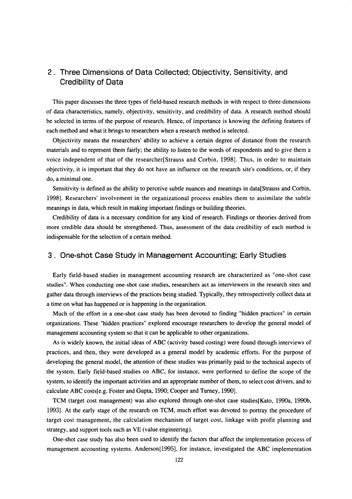# 2.Three Dimensions of Data Collected;Objectivity, Sensitivity, and Credibility of Data

 This paper discusses the three types of field-based research methods in with respect to three dimensions of data characteristics, namely, objectivity, sensitivity, and credibility of data. A research method should be selected in terms of the purpose of research. Hence, of importance is knowing the defining features of each method and what it brings to researchers when a research method is selected.

Objectivity means the researchers' ability to achieve a certain degree of distance from the research materials and to represent them fairly; the ability to listen to the words of respondents and to give them a voice independent of that of the researcher[Strauss and Corbin,1998]. Thus, in order to maintain objectivity, it is important that they do not have an infiuence on the research site's conditions, or, if they do, a minimal one.

 Sensitivity is defined as the ability to perceive subtle nuances and meanings in data[Strauss and Corbin, 1998]. Researchers' involvement in the organizational process enables them to assimilate the subtle meanings in data, which result in making important findings or building theories.

Credibility of data is a necessary condition for any kind of research. Findings or theories derived from more credible data should be strengthened. Thus, assessment of the data credibility of each method is indispensable for the selection of a certain method.

## 3. One-shot Case Study in Management Accounting; Early Studies

 Early field-based studies in management accounting research are characterized as"one-shot case studies". When conducting one-shot case studies, researchers act as interviewers in the research sites and gather data through interviews of the practices being studied. Typically, they retrospectively collect data at atime on what has happened or is happening in the organization.

Much of the effort in a one-shot case study has been devoted to finding "hidden practices" in certain organizations. These"hidden practices"explored encourage researchers to develop the general model of management accounting system so that it can be applicable to other organizations.

As is widely known, the initial ideas of ABC (activity based costing) were found through interviews of practices, and then, they were developed as a general model by academic efforts. For the purpose of developing the general model, the attention of these studies was primarily paid to the technical aspects of the system. Early field-based studies on ABC, for instance, were performed to define the scope of the system, to identify the important activities and an appropriate number of them, to select cost drivers, and to calculate ABC costs[e.g. Foster and Gupta, 1990; Cooper and Turney, 1990].

TCM (target cost management) was also explored through one-shot case studies[Kato, 1990a, 1990b, 1993]. At the early stage of the research on TCM, much effort was devoted to portray the procedure of target cost management, the calculation mechanism of target cost, linkage with profit planning and strategy, and support tools such as VE (value engineering).

One-shot case study has also been used to identify the factors that affect the implementation process of management accounting systems. Anderson $[1995]$ , for instance, investigated the ABC implementation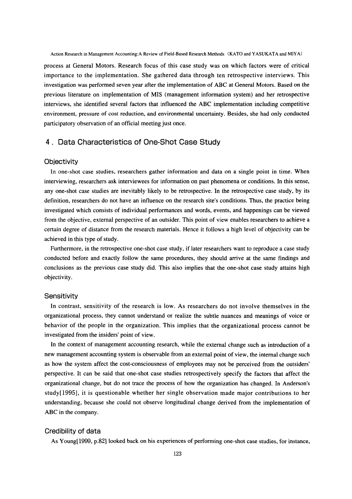Action Research in Management Accounting:A Review of Field-Based Research Methods (KATO and YASUKATA and MIYA)

process at General Motors. Research fbcus of this case study was on which factors were of critical importance to the implementation. She gathered data through ten retrospective interviews. This investigation was performed seven year after the implementation of ABC at General Motors. Based on the previous literature on implementation of MIS(management information system)and her retrospective interviews, she identified several factors that influenced the ABC implementation including competitive environment, pressure of cost reduction, and environmental uncertainty. Besides, she had only conducted participatory observation of an official meeting just once.

# 4.Data Characteristics of One-Shot Case Study

#### **Objectivity**

In one-shot case studies, researchers gather information and data on a single point in time. When interviewing, researchers ask interviewees for information on past phenomena or conditions. In this sense, any one-shot case studies are inevitably likely to be retrospective. In the retrospective case study, by its definition, researchers do not have an influence on the research site's conditions. Thus, the practice being investigated which consists of individual performances and words, events, and happenings can be viewed from the objective, external perspective of an outsider. This point of view enables researchers to achieve a certain degree of distance from the research materials. Hence it follows a high level of objectivity can be achieved in this type of study.

 Furthermore, in the retrospective one-shot case study, if later researchers want to reproduce a case study conducted before and exactly follow the same procedures, they should arrive at the same findings and conclusions as the previous case study did. This also implies that the one-shot case study attains high objectivity.

#### **Sensitivity**

 In contrast, sensitivity of the research is low. As researchers do not involve themselves in the organizational process, they cannot understand or realize the subtle nuances and meanings of voice or behavior of the people in the organization. This implies that the organizational process cannot be investigated from the insiders' point of view.

 In the context of management accounting research, while the extemal change such as introduction of a new management accounting system is observable from an external point of view, the internal change such as how the system affect the cost-consciousness of employees may not be perceived from the outsiders' perspective. It can be said that one-shot case studies retrospectively specify the factors that affect the organizational change, but do not trace the process of how the organization has changed. In Anderson's study[1995], it is questionable whether her single observation made major contributions to her 曲derstanding, because she could not observe longitudinal change derived from the implementation of ABC in the company.

#### Credibility of data

As Young[1999, p.82] looked back on his experiences of performing one-shot case studies, for instance,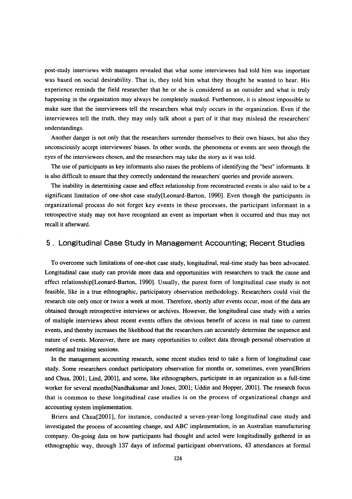post-study interviews with managers revealed that what some interviewees had told him was important was based on social desirability. That is, they told him what they thought he wanted to hear. His experience reminds the field researcher that he or she is considered as an outsider and what is truly happening in the organization may always be completely masked. Furthermore, it is almost impossible to make sure that the interviewees tell the researchers what truly occurs in the organization. Even if the interviewees tell the truth, they may only talk about a part of it that may mislead the researchers' understandings.

 Another danger is not only that the researchers surrender themselves to their own biases, but also they unconsciously accept interviewees'biases. In other words, the phenomena or events are seen through the eyes of the interviewees chosen, and the researchers may take the story as it was told.

The use of participants as key informants also raises the problems of identifying the "best" informants. It is also difficult to ensure that they correctly understand the researchers'queries and provide answers.

The inability in determining cause and effect relationship from reconstructed events is also said to be a significant limitation of one-shot case study[Leonard-Barton,1990]. Even though the participants in organizational process do not forget key events in these processes, the participant informant in a retrospective study may not have recognized an event as important when it occurred and thus may not recall it afterward.

#### 5. Longitudinal Case Study in Management Accounting; Recent Studies

 To overcome such limitations of one-shot case study, longitudinal, rea1-time study has been advocated. Longitudinal case study can provide more data and opportunities with researchers to track the cause and effect relationship[Leonard-Barton, 1990]. Usually, the purest form of longitudinal case study is not feasible, like in a true ethnographic, participatory observation methodology. Researchers could visit the research site only once or twice a week at most. Therefore, shortly after events occur, most of the data are obtained through retrospective interviews or archives. However, the longitudinal case study with a series of multiple interviews about recent events offers the obvious benefit of access in real time to current events, and thereby increases the likelihood that the researchers can accurately determine the sequence and nature of events. Moreover, there are many opportunities to collect data through personal observation at meeting and training sessions.

In the management accounting research, some recent studies tend to take a form of longitudinal case study. Some researchers conduct participatory observation for months or, sometimes, even years[Briers and Chua, 2001; Lind, 2001], and some, like ethnographers, participate in an organization as a full-time worker for several months[Nandhakumar and Jones, 2001; Uddin and Hopper, 2001]. The research focus that is common to these longitudinal case studies is on the process of organizational change and accounting system implementation.

 Briers and Chua[2001】, for instance, conducted a seven-year-long longitudinal case study and investigated the process of accounting change, and ABC implementation, in an Australian manufacturing company. On-going data on how participants had thought and acted were longitudinally gathered in an ethnographic way, through 137 days of informal participant observations, 43 attendances at formal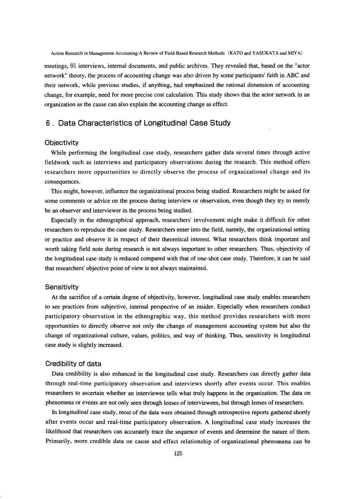Action Research in Management Accounting:A Review of Field-Based Research Methods (KATO and YASUKATA and MIYA)

meetings,91 interviews, intemal documents, and public archives. They revealed that, based on the"actor network" theory, the process of accounting change was also driven by some participants' faith in ABC and their network, while previous studies, if anything, had emphasized the rational dimension of accounting change, for example, need for more precise cost calculation. This study shows that the actor network in an organization as the cause can also explain the accounting change as effect.

# 6.Data Characteristics of Longitudinal Case Study

#### **Objectivity**

While performing the longitudinal case study, researchers gather data several times through active fieldwork such as interviews and participatory observations during the research. This method offers researchers more opportunities to directly observe the process of organizational change and its consequences.

This might, however, influence the organizational process being studied. Researchers might be asked for some comments or advice on the process during interview or observation, even though they try to merely be an observer and interviewer in the process being studied.

Especially in the ethnographical approach, researchers' involvement might make it difficult for other researchers to reproduce the case study. Researchers enter into the field, namely, the organizational setting or practice and observe it in respect of their theoretical interest. What researchers think important and worth taking field note during research is not always important to other researchers. Thus, objectivity of the longitudinal case study is reduced compared with that of one-shot case study. Therefore, it can be said that researchers' objective point of view is not always maintained.

#### **Sensitivity**

At the sacrifice of a certain degree of objectivity, however, longitudinal case study enables researchers to see practices from subjective, intemal perspective of an insider. Especially when researchers conduct participatory observation in the ethnographic way, this method provides researchers with more opportunities to directly observe not only the change of management accounting system but also the change of organizational culture, values, politics, and way of thinking, Thus, sensitivity in longitudinal case study is slightly increased.

#### Credibility of data

 Data credibility is also enhanced in the longitudinal case study. Researchers can directly gather data through real-time participatory observation and interviews shortly after events occur. This enables researchers to ascertain whether an interviewee tells what truly happens in the organization. The data on phenomena or events are not only seen through lenses of interviewees, but through lenses of reseafchers.

 In longitudinal case study, most of the data were obtained through retrospective reports gathered shortly after events occur and real-time participatory observation. A longitudinal case study increases the likelihood that researchers can accurately trace the sequence of events and determine the nature of them. Primarily, more credible data on cause and effect relationship of organizational phenomena can be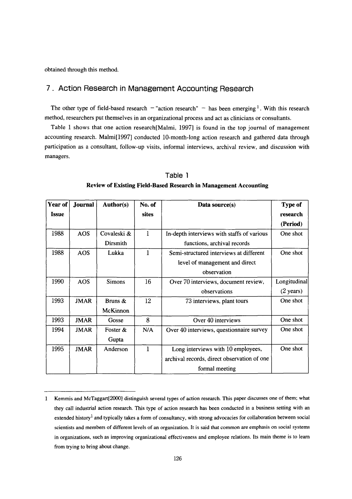obtained through this method.

# 7.Action Research in Management Accounting Research

The other type of field-based research - "action research" - has been emerging <sup>1</sup>. With this research method, researchers put themselves in an organizational process and act as clinicians or consultants.

Table 1 shows that one action research[Malmi, 1997] is found in the top journal of management accounting research. Malmi[1997] conducted 10-month-long action research and gathered data through participation as a consultant, follow-up visits, informal interviews, archival review, and discussion with managers.

| Year of | Journal     | <b>Author(s)</b> | No. of       | Data source(s)                              | <b>Type of</b>      |
|---------|-------------|------------------|--------------|---------------------------------------------|---------------------|
| Issue   |             |                  | sites        |                                             | research            |
|         |             |                  |              |                                             | (Period)            |
| 1988    | <b>AOS</b>  | Covaleski &      | $\mathbf{1}$ | In-depth interviews with staffs of various  | One shot            |
|         |             | Dirsmith         |              | functions, archival records                 |                     |
| 1988    | <b>AOS</b>  | Lukka            | 1            | Semi-structured interviews at different     | One shot            |
|         |             |                  |              | level of management and direct              |                     |
|         |             |                  |              | observation                                 |                     |
| 1990    | <b>AOS</b>  | <b>Simons</b>    | 16           | Over 70 interviews, document review,        | Longitudinal        |
|         |             |                  |              | observations                                | $(2 \text{ years})$ |
| 1993    | <b>JMAR</b> | Bruns &          | 12           | 73 interviews, plant tours                  | One shot            |
|         |             | McKinnon         |              |                                             |                     |
| 1993    | <b>JMAR</b> | Gosse            | 8            | Over 40 interviews                          | One shot            |
| 1994    | <b>JMAR</b> | Foster &         | N/A          | Over 40 interviews, questionnaire survey    | One shot            |
|         |             | Gupta            |              |                                             |                     |
| 1995    | <b>JMAR</b> | Anderson         | $\mathbf{1}$ | Long interviews with 10 employees,          | One shot            |
|         |             |                  |              | archival records, direct observation of one |                     |
|         |             |                  |              | formal meeting                              |                     |

 Table l Review of Existing Field・Based Research in Management Accounting

<sup>1</sup> Kemmis and McTaggart[2000] distinguish several types of action research. This paper discusses one of them; what they call industrial action research. This type of action research has been conducted in a business setting with an extended history<sup>1</sup> and typically takes a form of consultancy, with strong advocacies for collaboration between social scientists and members of different levels of an organization. It is said that common are emphasis on social systems in organizations, such as improving organizational effectiveness and employee relations. lts main theme is to leam from trying to bring about change.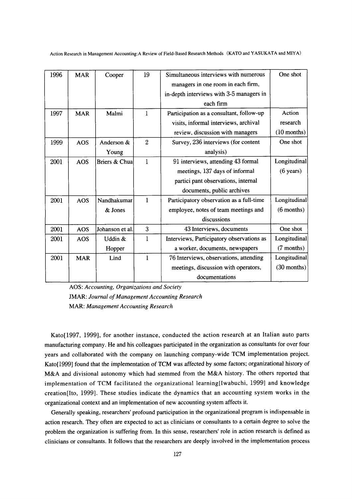Action Research in Management Accounting:A Review of Field-Based Research Methods (KATO and YASUKATA and MIYA)

| 1996 | <b>MAR</b> | Cooper          | 19             | Simultaneous interviews with numerous     | One shot            |
|------|------------|-----------------|----------------|-------------------------------------------|---------------------|
|      |            |                 |                | managers in one room in each firm,        |                     |
|      |            |                 |                | in-depth interviews with 3-5 managers in  |                     |
|      |            |                 |                | each firm                                 |                     |
| 1997 | <b>MAR</b> | Malmi           | $\mathbf{1}$   | Participation as a consultant, follow-up  | Action              |
|      |            |                 |                | visits, informal interviews, archival     | research            |
|      |            |                 |                | review, discussion with managers          | $(10$ months)       |
| 1999 | <b>AOS</b> | Anderson &      | $\overline{2}$ | Survey, 236 interviews (for content       | One shot            |
|      |            | Young           |                | analysis)                                 |                     |
| 2001 | AOS        | Briers & Chua   | 1              | 91 interviews, attending 43 formal        | Longitudinal        |
|      |            |                 |                | meetings, 137 days of informal            | $(6 \text{ years})$ |
|      |            |                 |                | partici pant observations, internal       |                     |
|      |            |                 |                | documents, public archives                |                     |
| 2001 | <b>AOS</b> | Nandhakumar     | 1              | Participatory observation as a full-time  | Longitudinal        |
|      |            | & Jones         |                | employee, notes of team meetings and      | $(6$ months)        |
|      |            |                 |                | discussions                               |                     |
| 2001 | <b>AOS</b> | Johanson et al. | 3              | 43 Interviews, documents                  | One shot            |
| 2001 | AOS        | Uddin &         | 1              | Interviews, Participatory observations as | Longitudinal        |
|      |            | Hopper          |                | a worker, documents, newspapers           | (7 months)          |
| 2001 | <b>MAR</b> | Lind            | $\mathbf{1}$   | 76 Interviews, observations, attending    | Longitudinal        |
|      |            |                 |                | meetings, discussion with operators,      | $(30$ months)       |
|      |            |                 |                | documentations                            |                     |

AOS: Accounting, Organizations and Society JMAR: Journal of Management Accounting Research MAR: Management Accounting Research

Kato[1997, 1999], for another instance, conducted the action research at an Italian auto parts manufacturing company. He and his colleagues participated in the organization as consultants for over four years and collaborated with the company on launching company-wide TCM implementation project. Kato[1999] found that the implementation of TCM was affected by some factors; organizational history of M&A and divisional autonomy which had stemmed from the M&A history. The others reported that implementation of TCM facilitated the organizational learning[Iwabuchi, 1999] and knowledge creation[lto,1999]. These studies indicate the dynamics that an accounting system works in the organizational context and an implementation of new accounting system affects it.

 Generally speaking, researchers' profound participation in the organizational program is indispensable in action research. They often are expected to act as clinicians or consultants to a certain degree to solve the problem the organization is suffering from. In this sense, researchers' role in action research is defined as clinicians or consultants. It follows that the researchers are deeply involved in the implementation process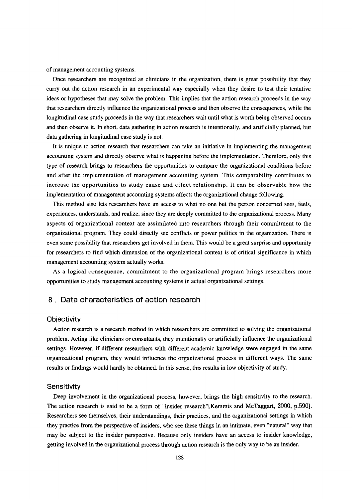of management accounting systems.

 Once researchers are recognized as clinicians in the organization, there is great possibility that they curry out the action research in an experimental way especially when they desire to test their tentative ideas or hypotheses that may solve the problem. This implies that the action research proceeds in the way that researchers directly influence the organizational process and then observe the consequences, while the longitudinal case study proceeds in the way that researchers wait until what is worth being observed occurs and then observe it. In short, data gathering in action research is intentionally, and artificially planned, but data gathering in longitudinal case study is not.

It is unique to action research that researchers can take an initiative in implementing the management accounting system and directly observe what is happening before the implementation. Therefore, only this type of research brings to researchers the opportunities to compare the organizational conditions before and after the implementation of management accounting system. This comparability contributes to increase the opportunities to study cause and effect relationship. It can be observable how the implementation of management accounting systems affects the organizational change following.

 This method also lets researchers have an access to what no one but the person concerned sees, feels, experiences, understands, and realize, since they are deeply committed to the organizational process. Many aspects of organizational context are assimilated into researchers through their commitment to the organizational program. They could directly see conflicts or power politics in the organization, There is even some possibility that researchers get involved in them. This would be a great surprise and opportunity for researchers to find which dimension of the organizational context is of critical significance in which management accounting system actually works.

 As a logical consequence, commitment to the organizational program brings researchers more opportunities to study management accounting systems in actual organizational settings.

## 8,Data characteristics of action research

#### **Objectivity**

 Action research is a research method in which researchers are committed to solving the organizational problem. Acting like clinicians or consultants, they intentionally or artificially influence the organizational settings. However, if different researchers with different academic knowledge were engaged in the same organizational program, they would infiuence the organizational process in different ways. The same results or findings would hardly be obtained. In this sense, this results in low objectivity of study.

#### **Sensitivity**

Deep involvement in the organizational process, however, brings the high sensitivity to the research. The action research is said to be a form of "insider research"[Kemmis and McTaggart, 2000, p.590]. Researchers see themselves, their understandings, their practices, and the organizational settings in which they practice from the perspective of insiders, who see these things in an intimate, even "natural" way that may be subject to the insider perspective. Because only insiders have an access to insider knowledge, getting involved in the organizational process through action research is the only way to be an insider.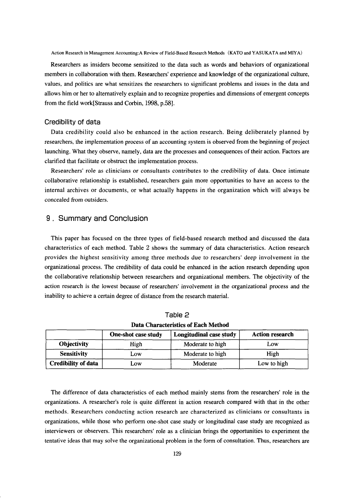Action Research in Management Accounting: A Review of Field-Based Research Methods (KATO and YASUKATA and MIYA)

Researchers as insiders become sensitized to the data such as words and behaviors of organizational members in collaboration with them. Researchers' experience and knowledge of the organizational culture, values, and politics are what sensitizes the researchers to significant problems and issues in the data and allows him or her to alternatively explain and to recognize properties and dimensions of emergent concepts from the field work[Strauss and Corbin, 1998, p.58].

#### Credibility of data

Data credibility could also be enhanced in the action research. Being deliberately planned by researchers, the implementation process of an accounting system is observed from the beginning of project launching. What they observe, namely, data are the processes and consequences of their action. Factors are clarified that facilitate or obstruct the implementation process.

Researchers' role as clinicians or consultants contributes to the credibility of data. Once intimate collaborative relationship is established, researchers gain more opportunities to have an access to the internal archives or documents, or what actually happens in the organization which will always be concealed from outsiders.

## 9. Summary and Conclusion

This paper has focused on the three types of field-based research method and discussed the data characteristics of each method. Table 2 shows the summary of data characteristics. Action research provides the highest sensitivity among three methods due to researchers' deep involvement in the organizational process. The credibility of data could be enhanced in the action research depending upon the collaborative relationship between researchers and organizational members. The objectivity of the action research is the lowest because of researchers' involvement in the organizational process and the inability to achieve a certain degree of distance from the research material.

| Data Characteristics of Each Method |                     |                         |                        |  |
|-------------------------------------|---------------------|-------------------------|------------------------|--|
|                                     | One-shot case study | Longitudinal case study | <b>Action research</b> |  |
| <b>Objectivity</b>                  | High                | Moderate to high        | Low                    |  |
| <b>Sensitivity</b>                  | Low                 | Moderate to high        | High                   |  |
| <b>Credibility of data</b>          | Low                 | Moderate                | Low to high            |  |

| Table 2                                    |
|--------------------------------------------|
| <b>Data Characteristics of Each Method</b> |

The difference of data characteristics of each method mainly stems from the researchers' role in the organizations. A researcher's role is quite different in action research compared with that in the other methods. Researchers conducting action research are characterized as clinicians or consultants in organizations, while those who perform one-shot case study or longitudinal case study are recognized as interviewers or observers. This researchers' role as a clinician brings the opportunities to experiment the tentative ideas that may solve the organizational problem in the form of consultation. Thus, researchers are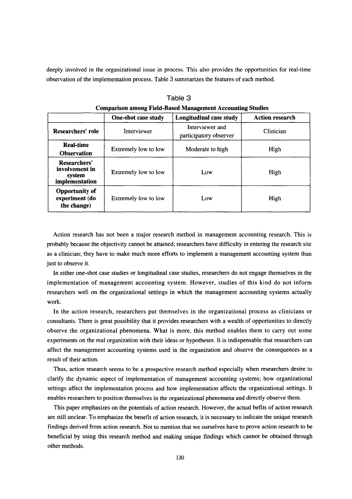deeply involved in the organizational issue in process. This also provides the opportunities for real-time observation of the implementation process. Table 3 summarizes the features of each method.

|                                                            | <b>One-shot case study</b>  | Longitudinal case study                   | <b>Action research</b> |
|------------------------------------------------------------|-----------------------------|-------------------------------------------|------------------------|
| Researchers' role                                          | Interviewer                 | Interviewer and<br>participatory observer | Clinician              |
| <b>Real-time</b><br><b>Observation</b>                     | Extremely low to low        | Moderate to high                          | High                   |
| Researchers'<br>involvement in<br>system<br>implementation | <b>Extremely low to low</b> | Low                                       | High                   |
| <b>Opportunity of</b><br>experiment (do<br>the change)     | Extremely low to low        | Low                                       | High                   |

 TabIe 3 Comparison among Field-Based Management Accounting Studies

 Action research has not been a major research method in management accounting research. This is probably because the objectivity cannot be attained; researchers have difficulty in entering the research site as a clinician; they have to make much more efforts to implement a management accounting system than just to observe it.

In either one-shot case studies or longitudinal case studies, researchers do not engage themselves in the implementation of management accounting system. However, studies of this kind do not inform researchers well on the organizational settings in which the management accounting systems actually work.

 In the action research, researchers put themselves in the organizational process as clinicians or consultants. There is great possibility that it provides researchers with a wealth of opportunities to directly observe the organizational phenomena. What is more, this method enables them to carry out some experiments on the real organization with their ideas or hypotheses. It is indispensable that researchers can affect the management accounting systems used in the organization and observe the consequences as a result of their action.

 Thus, action research seems to be a prospective research method especially when researchers desire to clarify the dynamic aspect of implementation of management accounting systems; how organizational settings affect the implementation process and how implementation affects the organizational settings. It enables researchers to position themselves in the organizational phenomena and directly observe them.

 This paper emphasizes on the potentials of action research. However, the actual befits of action research are still unclear. To emphasize the benefit of action research, it is necessary to indicate the unique research findings derived from action research. Not to mention that we ourselves have to prove action research to be beneficial by using this research method and making unique findings which cannot be obtained through other methods.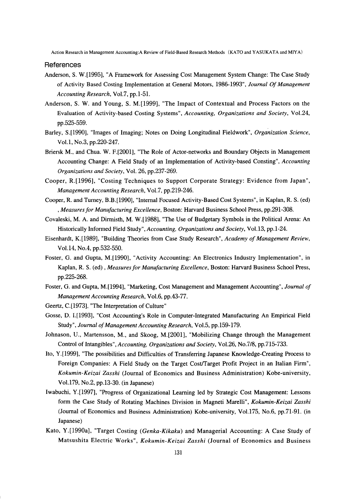Action Research in Management Accounting: A Review of Field-Based Research Methods (KATO and YASUKATA and MIYA)

References

- Anderson, S. W. [1995], "A Framework for Assessing Cost Management System Change: The Case Study of Activity Based Costing Implementation at General Motors, 1986-1993", Journal Of Management Accounting Research, Vol.7, pp.1-51.
- Anderson, S. W. and Young, S. M. [1999], "The Impact of Contextual and Process Factors on the Evaluation of Activity-based Costing Systems", Accounting, Organizations and Society, Vol.24, pp.525-559.
- Barley, S.[1990], "Images of Imaging; Notes on Doing Longitudinal Fieldwork", Organization Science, Vol.1, No.3, pp.220-247.
- Briersk M., and Chua. W. F.[2001], "The Role of Actor-networks and Boundary Objects in Management Accounting Change: A Field Study of an Implementation of Activity-based Consting", Accounting Organizations and Society, Vol. 26, pp.237-269.
- Cooper, R.[1996], "Costing Techniques to Support Corporate Strategy: Evidence from Japan", Management Accounting Research, Vol.7, pp.219-246.
- Cooper, R. and Turney, B.B.[1990], "Internal Focused Activity-Based Cost Systems", in Kaplan, R. S. (ed) , Measures for Manufacturing Excellence, Boston: Harvard Business School Press, pp.291-308.
- Covaleski, M. A. and Dirmisth, M. W. [1988], "The Use of Budgetary Symbols in the Political Arena: An Historically Informed Field Study", Accounting, Organizations and Society, Vol.13, pp.1-24.
- Eisenhardt, K.[1989], "Building Theories from Case Study Research", Academy of Management Review, Vol.14, No.4, pp.532-550.
- Foster, G. and Gupta, M. [1990], "Activity Accounting: An Electronics Industry Implementation", in Kaplan, R. S. (ed), Measures for Manufacturing Excellence, Boston: Harvard Business School Press, pp.225-268.
- Foster, G. and Gupta, M.[1994], "Marketing, Cost Management and Management Accounting", Journal of Management Accounting Research, Vol.6, pp.43-77.
- Geertz, C.[1973], "The Interpretation of Culture"
- Gosse, D. I.[1993], "Cost Accounting's Role in Computer-Integrated Manufacturing An Empirical Field Study", Journal of Management Accounting Research, Vol.5, pp.159-179.
- Johnason, U., Martensson, M., and Skoog, M.[2001], "Mobilizing Change through the Management Control of Intangibles", Accounting, Organizations and Society, Vol.26, No.7/8, pp.715-733.
- Ito, Y.[1999], "The possibilities and Difficulties of Transferring Japanese Knowledge-Creating Process to Foreign Companies: A Field Study on the Target Cost/Target Profit Project in an Italian Firm", Kokumin-Keizai Zasshi (Journal of Economics and Business Administration) Kobe-university, Vol.179, No.2, pp.13-30. (in Japanese)
- Iwabuchi, Y.[1997], "Progress of Organizational Learning led by Strategic Cost Management: Lessons form the Case Study of Rotating Machines Division in Magneti Marelli", Kokumin-Keizai Zasshi (Journal of Economics and Business Administration) Kobe-university, Vol.175, No.6, pp.71-91. (in Japanese)
- Kato, Y.[1990a], "Target Costing (Genka-Kikaku) and Managerial Accounting: A Case Study of Matsushita Electric Works", Kokumin-Keizai Zasshi (Journal of Economics and Business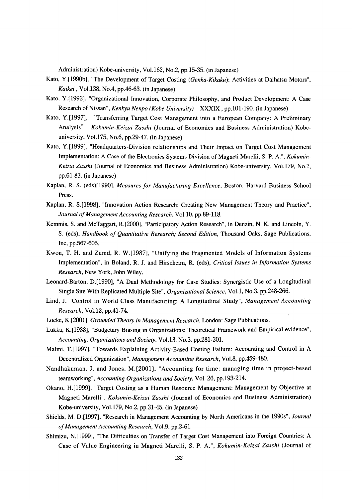Administration) Kobe-university, Vol.162, No.2, pp.15-35. (in Japanese)

- Kato, Y.[1990b], "The Development of Target Costing (Genka-Kikaku): Activities at Daihatsu Motors", Kaikei, Vol.138, No.4, pp.46-63. (in Japanese)
- Kato, Y.[1993], "Organizational Innovation, Corporate Philosophy, and Product Development: A Case Research of Nissan", Kenkyu Nenpo (Kobe University) XXXIX, pp.101-190. (in Japanese)
- Kato, Y.[1997], "Transferring Target Cost Management into a European Company: A Preliminary Analysis", Kokumin-Keizai Zasshi (Journal of Economics and Business Administration) Kobeuniversity, Vol.175, No.6, pp.29-47. (in Japanese)
- Kato, Y.[1999], "Headquarters-Division relationships and Their Impact on Target Cost Management Implementation:ACase of the Electronics Systems Division of Magneti Marelli, S. P. A.", Kokumin- Keizai Zasshi (Journal of Economics and Business Administration) Kobe-university, Vol.179, No.2, pp.61-83.(in Japanese)
- Kaplan, R. S. (eds)[1990], Measures for Manufacturing Excellence, Boston: Harvard Business School Press.
- Kaplan, R. S.[1998], "Innovation Action Research: Creating New Management Theory and Practice", Journal of Management Accounting Research, Vol.10, pp.89-118.
- Kemmis, S. and McTaggart, R.[2000], "Participatory Action Research", in Denzin, N. K. and Lincoln, Y. S. (eds), Handbook of Quantitative Research; Second Edition, Thousand Oaks, Sage Publications, Inc, pp.567-605,
- Kwon, T. H. and Zumd, R. W.[1987],"Unifying the Fragmented Models of Information Systems Implementation", in Boland, R. J. and Hirscheim, R. (eds), Critical Issues in Information Systems Research, New York, John Wiley.
- Leonard-Barton, D.[1990], "A Dual Methodology for Case Studies: Synergistic Use of a Longitudinal Single Site With Replicated Multiple Site", Organizational Science, Vol.1, No.3, pp.248-266.
- Lind, J. "Control in World Class Manufacturing: A Longitudinal Study", Management Accounting  $Research$ , Vol.12, pp.41-74.
- Locke, K.[2001], Grounded Theory in Management Research, London: Sage Publications.
- Lukka, K.[1988], "Budgetary Biasing in Organizations: Theoretical Framework and Empirical evidence", Accounting, Organizations and Society, VoL13, No.3, pp.281-301.
- Malmi, T.[1997], "Towards Explaining Activity-Based Costing Failure: Accounting and Control in A Decentralized Organization", Management Accounting Research, Vol.8, pp.459-480.
- Nandhakuman, J. and Jones, M.[2001], "Accounting for time: managing time in project-besed teamworking", Accounting Organizations and Society, Vol. 26, pp.193-214.
- Okano, H.[1999], "Target Costing as a Human Resource Management: Management by Objective at Magneti Marelli", Kokumin-Keizai Zasshi (Journal of Economics and Business Administration) Kobe-university, VoL l79, No.2, pp.31-45.(in Japanese)
- Shields, M. D.[1997], "Research in Management Accounting by North Americans in the 1990s", Journal of Management Accounting Research, Vol.9, pp.3-61.
- Shimizu, N.[1999], "The Difficulties on Transfer of Target Cost Management into Foreign Countries: A Case of Value Engineering in Magneti Marelli, S. P. A.", Kokumin-Keizai Zasshi (Journal of